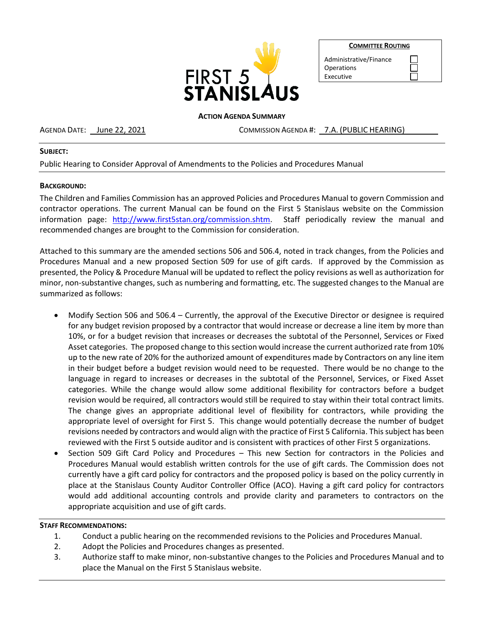

**COMMITTEE ROUTING**

| Administrative/Finance |
|------------------------|
| Operations             |
| Executive              |

#### **ACTION AGENDA SUMMARY**

AGENDA DATE: <u>June 22, 2021</u> COMMISSION AGENDA #: 7.A. (PUBLIC HEARING)

### **SUBJECT:**

# Public Hearing to Consider Approval of Amendments to the Policies and Procedures Manual

## **BACKGROUND:**

The Children and Families Commission has an approved Policies and Procedures Manual to govern Commission and contractor operations. The current Manual can be found on the First 5 Stanislaus website on the Commission information page: [http://www.first5stan.org/commission.shtm.](http://www.first5stan.org/commission.shtm) Staff periodically review the manual and recommended changes are brought to the Commission for consideration.

Attached to this summary are the amended sections 506 and 506.4, noted in track changes, from the Policies and Procedures Manual and a new proposed Section 509 for use of gift cards. If approved by the Commission as presented, the Policy & Procedure Manual will be updated to reflect the policy revisions as well as authorization for minor, non-substantive changes, such as numbering and formatting, etc. The suggested changes to the Manual are summarized as follows:

- Modify Section 506 and 506.4 Currently, the approval of the Executive Director or designee is required for any budget revision proposed by a contractor that would increase or decrease a line item by more than 10%, or for a budget revision that increases or decreases the subtotal of the Personnel, Services or Fixed Asset categories. The proposed change to this section would increase the current authorized rate from 10% up to the new rate of 20% for the authorized amount of expenditures made by Contractors on any line item in their budget before a budget revision would need to be requested. There would be no change to the language in regard to increases or decreases in the subtotal of the Personnel, Services, or Fixed Asset categories. While the change would allow some additional flexibility for contractors before a budget revision would be required, all contractors would still be required to stay within their total contract limits. The change gives an appropriate additional level of flexibility for contractors, while providing the appropriate level of oversight for First 5. This change would potentially decrease the number of budget revisions needed by contractors and would align with the practice of First 5 California. This subject has been reviewed with the First 5 outside auditor and is consistent with practices of other First 5 organizations.
- Section 509 Gift Card Policy and Procedures This new Section for contractors in the Policies and Procedures Manual would establish written controls for the use of gift cards. The Commission does not currently have a gift card policy for contractors and the proposed policy is based on the policy currently in place at the Stanislaus County Auditor Controller Office (ACO). Having a gift card policy for contractors would add additional accounting controls and provide clarity and parameters to contractors on the appropriate acquisition and use of gift cards.

## **STAFF RECOMMENDATIONS:**

- 1. Conduct a public hearing on the recommended revisions to the Policies and Procedures Manual.
- 2. Adopt the Policies and Procedures changes as presented.
- 3. Authorize staff to make minor, non-substantive changes to the Policies and Procedures Manual and to place the Manual on the First 5 Stanislaus website.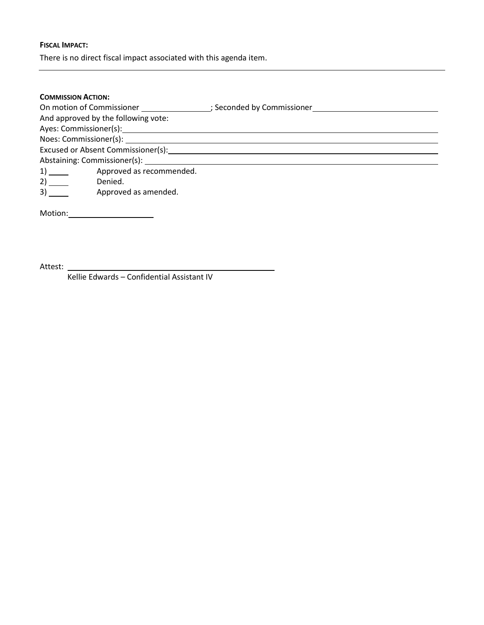## **FISCAL IMPACT:**

There is no direct fiscal impact associated with this agenda item.

### **COMMISSION ACTION:**

| On motion of Commissioner and the motion of Commissioner |                          |  |  |  |  |
|----------------------------------------------------------|--------------------------|--|--|--|--|
| And approved by the following vote:                      |                          |  |  |  |  |
|                                                          |                          |  |  |  |  |
|                                                          | Noes: Commissioner(s):   |  |  |  |  |
| Excused or Absent Commissioner(s):                       |                          |  |  |  |  |
|                                                          |                          |  |  |  |  |
|                                                          | Approved as recommended. |  |  |  |  |
|                                                          | Denied.                  |  |  |  |  |

3) Approved as amended.

Motion:

Attest: \_

Kellie Edwards – Confidential Assistant IV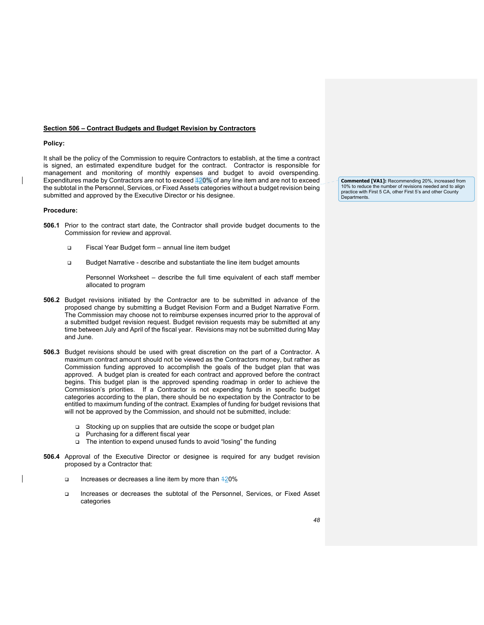#### **Section 506 – Contract Budgets and Budget Revision by Contractors**

#### **Policy:**

It shall be the policy of the Commission to require Contractors to establish, at the time a contract is signed, an estimated expenditure budget for the contract. Contractor is responsible for management and monitoring of monthly expenses and budget to avoid overspending. Expenditures made by Contractors are not to exceed 120% of any line item and are not to exceed the subtotal in the Personnel, Services, or Fixed Assets categories without a budget revision being submitted and approved by the Executive Director or his designee.

#### **Procedure:**

- **506.1** Prior to the contract start date, the Contractor shall provide budget documents to the Commission for review and approval.
	- □ Fiscal Year Budget form annual line item budget
	- □ Budget Narrative describe and substantiate the line item budget amounts

Personnel Worksheet – describe the full time equivalent of each staff member allocated to program

- **506.2** Budget revisions initiated by the Contractor are to be submitted in advance of the proposed change by submitting a Budget Revision Form and a Budget Narrative Form. The Commission may choose not to reimburse expenses incurred prior to the approval of a submitted budget revision request. Budget revision requests may be submitted at any time between July and April of the fiscal year. Revisions may not be submitted during May and June.
- **506.3** Budget revisions should be used with great discretion on the part of a Contractor. A maximum contract amount should not be viewed as the Contractors money, but rather as Commission funding approved to accomplish the goals of the budget plan that was approved. A budget plan is created for each contract and approved before the contract begins. This budget plan is the approved spending roadmap in order to achieve the Commission's priorities. If a Contractor is not expending funds in specific budget categories according to the plan, there should be no expectation by the Contractor to be entitled to maximum funding of the contract. Examples of funding for budget revisions that will not be approved by the Commission, and should not be submitted, include:
	- □ Stocking up on supplies that are outside the scope or budget plan
	- Purchasing for a different fiscal year
	- □ The intention to expend unused funds to avoid "losing" the funding
- **506.4** Approval of the Executive Director or designee is required for any budget revision proposed by a Contractor that:
	- Increases or decreases a line item by more than 420%
	- Increases or decreases the subtotal of the Personnel, Services, or Fixed Asset categories

**Commented [VA1]:** Recommending 20%, increased from 10% to reduce the number of revisions needed and to align practice with First 5 CA, other First 5's and other County **Departments**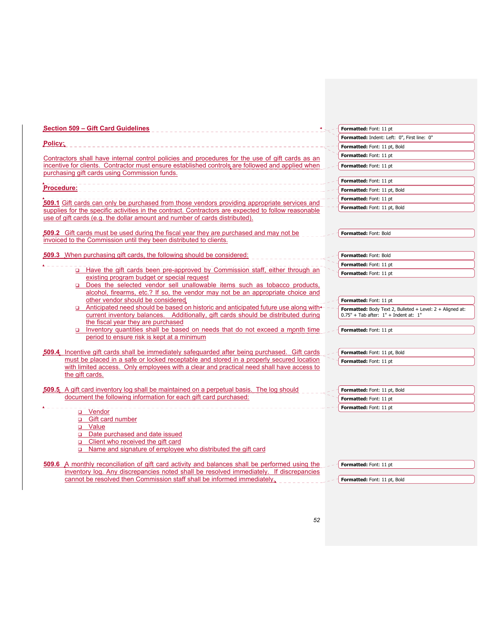| Section 509 - Gift Card Guidelines<br>______________________                                                                                                                       | Formatted: Font: 11 pt                                    |
|------------------------------------------------------------------------------------------------------------------------------------------------------------------------------------|-----------------------------------------------------------|
|                                                                                                                                                                                    | Formatted: Indent: Left: 0", First line: 0"               |
| Policy:                                                                                                                                                                            | Formatted: Font: 11 pt, Bold                              |
| Contractors shall have internal control policies and procedures for the use of gift cards as an                                                                                    | Formatted: Font: 11 pt                                    |
| incentive for clients. Contractor must ensure established controls are followed and applied when                                                                                   | Formatted: Font: 11 pt                                    |
| purchasing gift cards using Commission funds.                                                                                                                                      |                                                           |
|                                                                                                                                                                                    | Formatted: Font: 11 pt                                    |
| <b>Procedure:</b>                                                                                                                                                                  | Formatted: Font: 11 pt, Bold                              |
|                                                                                                                                                                                    | Formatted: Font: 11 pt                                    |
| 509.1 Gift cards can only be purchased from those vendors providing appropriate services and                                                                                       | Formatted: Font: 11 pt, Bold                              |
| supplies for the specific activities in the contract. Contractors are expected to follow reasonable<br>use of gift cards (e.g. the dollar amount and number of cards distributed). |                                                           |
|                                                                                                                                                                                    |                                                           |
| 509.2 Gift cards must be used during the fiscal year they are purchased and may not be                                                                                             | Formatted: Font: Bold                                     |
| invoiced to the Commission until they been distributed to clients.                                                                                                                 |                                                           |
|                                                                                                                                                                                    |                                                           |
| <b>509.3</b> When purchasing gift cards, the following should be considered:                                                                                                       | Formatted: Font: Bold                                     |
|                                                                                                                                                                                    | Formatted: Font: 11 pt                                    |
| ∟ Have the gift cards been pre-approved by Commission staff, either through an<br>existing program budget or special request                                                       | Formatted: Font: 11 pt                                    |
| Does the selected vendor sell unallowable items such as tobacco products,                                                                                                          |                                                           |
| alcohol, firearms, etc.? If so, the vendor may not be an appropriate choice and                                                                                                    |                                                           |
| other vendor should be considered.                                                                                                                                                 | Formatted: Font: 11 pt                                    |
| Anticipated need should be based on historic and anticipated future use along with                                                                                                 | Formatted: Body Text 2, Bulleted + Level: 2 + Aligned at: |
| current inventory balances. Additionally, gift cards should be distributed during                                                                                                  | $0.75" + Tab$ after: $1" + Indent$ at: $1"$               |
| the fiscal year they are purchased                                                                                                                                                 |                                                           |
| Inventory quantities shall be based on needs that do not exceed a month time<br>period to ensure risk is kept at a minimum                                                         | Formatted: Font: 11 pt                                    |
|                                                                                                                                                                                    |                                                           |
| <b>509.4</b> Incentive gift cards shall be immediately safeguarded after being purchased. Gift cards                                                                               | Formatted: Font: 11 pt, Bold                              |
| must be placed in a safe or locked receptable and stored in a properly secured location                                                                                            | Formatted: Font: 11 pt                                    |
| with limited access. Only employees with a clear and practical need shall have access to                                                                                           |                                                           |
| the gift cards.                                                                                                                                                                    |                                                           |
|                                                                                                                                                                                    |                                                           |
| 509.5 A gift card inventory log shall be maintained on a perpetual basis. The log should<br>document the following information for each gift card purchased:                       | Formatted: Font: 11 pt, Bold                              |
|                                                                                                                                                                                    | Formatted: Font: 11 pt                                    |
| u Vendor                                                                                                                                                                           | Formatted: Font: 11 pt                                    |
| □ Gift card number                                                                                                                                                                 |                                                           |
| <u>a Value</u>                                                                                                                                                                     |                                                           |
| Date purchased and date issued                                                                                                                                                     |                                                           |
| o Client who received the gift card                                                                                                                                                |                                                           |
| □ Name and signature of employee who distributed the gift card                                                                                                                     |                                                           |
| 509.6 A monthly reconciliation of gift card activity and balances shall be performed using the                                                                                     | Formatted: Font: 11 pt                                    |
| inventory log. Any discrepancies noted shall be resolved immediately. If discrepancies                                                                                             |                                                           |
| cannot be resolved then Commission staff shall be informed immediately.                                                                                                            | Formatted: Font: 11 pt, Bold                              |